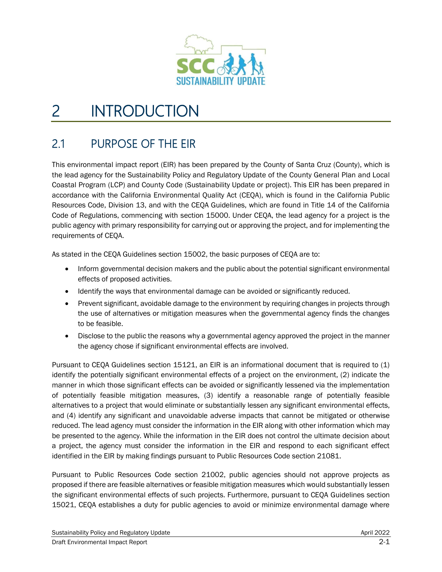

# 2 INTRODUCTION

## <span id="page-0-0"></span>2.1 PURPOSE OF THE EIR

This environmental impact report (EIR) has been prepared by the County of Santa Cruz (County), which is the lead agency for the Sustainability Policy and Regulatory Update of the County General Plan and Local Coastal Program (LCP) and County Code (Sustainability Update or project). This EIR has been prepared in accordance with the California Environmental Quality Act (CEQA), which is found in the California Public Resources Code, Division 13, and with the CEQA Guidelines, which are found in Title 14 of the California Code of Regulations, commencing with section 15000. Under CEQA, the lead agency for a project is the public agency with primary responsibility for carrying out or approving the project, and for implementing the requirements of CEQA.

As stated in the CEQA Guidelines section 15002, the basic purposes of CEQA are to:

- Inform governmental decision makers and the public about the potential significant environmental effects of proposed activities.
- Identify the ways that environmental damage can be avoided or significantly reduced.
- Prevent significant, avoidable damage to the environment by requiring changes in projects through the use of alternatives or mitigation measures when the governmental agency finds the changes to be feasible.
- Disclose to the public the reasons why a governmental agency approved the project in the manner the agency chose if significant environmental effects are involved.

Pursuant to CEQA Guidelines section 15121, an EIR is an informational document that is required to (1) identify the potentially significant environmental effects of a project on the environment, (2) indicate the manner in which those significant effects can be avoided or significantly lessened via the implementation of potentially feasible mitigation measures, (3) identify a reasonable range of potentially feasible alternatives to a project that would eliminate or substantially lessen any significant environmental effects, and (4) identify any significant and unavoidable adverse impacts that cannot be mitigated or otherwise reduced. The lead agency must consider the information in the EIR along with other information which may be presented to the agency. While the information in the EIR does not control the ultimate decision about a project, the agency must consider the information in the EIR and respond to each significant effect identified in the EIR by making findings pursuant to Public Resources Code section 21081.

Pursuant to Public Resources Code section 21002, public agencies should not approve projects as proposed if there are feasible alternatives or feasible mitigation measures which would substantially lessen the significant environmental effects of such projects. Furthermore, pursuant to CEQA Guidelines section 15021, CEQA establishes a duty for public agencies to avoid or minimize environmental damage where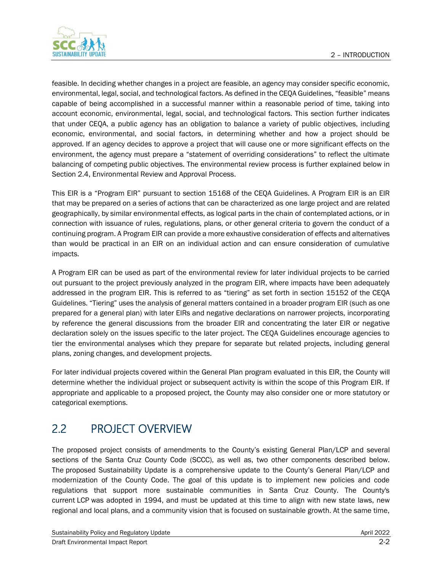

feasible. In deciding whether changes in a project are feasible, an agency may consider specific economic, environmental, legal, social, and technological factors. As defined in the CEQA Guidelines, "feasible" means capable of being accomplished in a successful manner within a reasonable period of time, taking into account economic, environmental, legal, social, and technological factors. This section further indicates that under CEQA, a public agency has an obligation to balance a variety of public objectives, including economic, environmental, and social factors, in determining whether and how a project should be approved. If an agency decides to approve a project that will cause one or more significant effects on the environment, the agency must prepare a "statement of overriding considerations" to reflect the ultimate balancing of competing public objectives. The environmental review process is further explained below in Section [2.4, Environmental Review and Approval Process.](#page-4-0)

This EIR is a "Program EIR" pursuant to section 15168 of the CEQA Guidelines. A Program EIR is an EIR that may be prepared on a series of actions that can be characterized as one large project and are related geographically, by similar environmental effects, as logical parts in the chain of contemplated actions, or in connection with issuance of rules, regulations, plans, or other general criteria to govern the conduct of a continuing program. A Program EIR can provide a more exhaustive consideration of effects and alternatives than would be practical in an EIR on an individual action and can ensure consideration of cumulative impacts.

A Program EIR can be used as part of the environmental review for later individual projects to be carried out pursuant to the project previously analyzed in the program EIR, where impacts have been adequately addressed in the program EIR. This is referred to as "tiering" as set forth in section 15152 of the CEQA Guidelines. "Tiering" uses the analysis of general matters contained in a broader program EIR (such as one prepared for a general plan) with later EIRs and negative declarations on narrower projects, incorporating by reference the general discussions from the broader EIR and concentrating the later EIR or negative declaration solely on the issues specific to the later project. The CEQA Guidelines encourage agencies to tier the environmental analyses which they prepare for separate but related projects, including general plans, zoning changes, and development projects.

For later individual projects covered within the General Plan program evaluated in this EIR, the County will determine whether the individual project or subsequent activity is within the scope of this Program EIR. If appropriate and applicable to a proposed project, the County may also consider one or more statutory or categorical exemptions.

## 2.2 PROJECT OVERVIEW

The proposed project consists of amendments to the County's existing General Plan/LCP and several sections of the Santa Cruz County Code (SCCC), as well as, two other components described below. The proposed Sustainability Update is a comprehensive update to the County's General Plan/LCP and modernization of the County Code. The goal of this update is to implement new policies and code regulations that support more sustainable communities in Santa Cruz County. The County's current [LCP](https://www.sccoplanning.com/PlanningHome/SustainabilityPlanning/GeneralPlan.aspx) was adopted in 1994, and must be updated at this time to align with new state laws, new regional and local plans, and a community vision that is focused on sustainable growth. At the same time,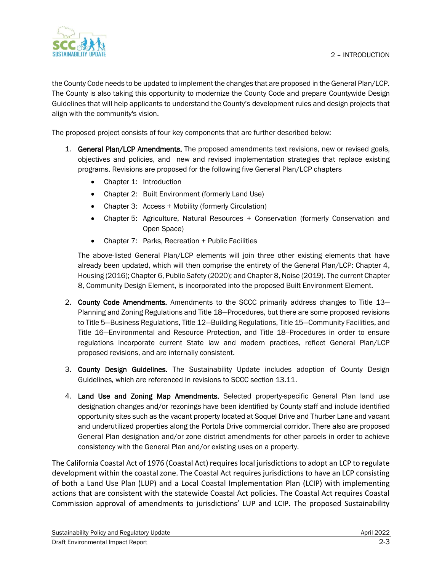

the County Code needs to be updated to implement the changes that are proposed in the General Plan/LCP. The County is also taking this opportunity to modernize the County Code and prepare Countywide Design Guidelines that will help applicants to understand the County's development rules and design projects that align with the community's vision.

The proposed project consists of four key components that are further described below:

- 1. General Plan/LCP Amendments. The proposed amendments text revisions, new or revised goals, objectives and policies, and new and revised implementation strategies that replace existing programs. Revisions are proposed for the following five General Plan/LCP chapters
	- Chapter 1: Introduction
	- Chapter 2: Built Environment (formerly Land Use)
	- Chapter 3: Access + Mobility (formerly Circulation)
	- Chapter 5: Agriculture, Natural Resources + Conservation (formerly Conservation and Open Space)
	- Chapter 7: Parks, Recreation + Public Facilities

The above-listed General Plan/LCP elements will join three other existing elements that have already been updated, which will then comprise the entirety of the General Plan/LCP: Chapter 4, Housing (2016); Chapter 6, Public Safety (2020); and Chapter 8, Noise (2019). The current Chapter 8, Community Design Element, is incorporated into the proposed Built Environment Element.

- 2. County Code Amendments. Amendments to the SCCC primarily address changes to Title 13– Planning and Zoning Regulations and Title 18—Procedures, but there are some proposed revisions to Title 5—Business Regulations, Title 12—Building Regulations, Title 15—Community Facilities, and Title 16—Environmental and Resource Protection, and Title 18--Procedures in order to ensure regulations incorporate current State law and modern practices, reflect General Plan/LCP proposed revisions, and are internally consistent.
- 3. County Design Guidelines. The Sustainability Update includes adoption of County Design Guidelines, which are referenced in revisions to SCCC section 13.11.
- 4. Land Use and Zoning Map Amendments. Selected property-specific General Plan land use designation changes and/or rezonings have been identified by County staff and include identified opportunity sites such as the vacant property located at Soquel Drive and Thurber Lane and vacant and underutilized properties along the Portola Drive commercial corridor. There also are proposed General Plan designation and/or zone district amendments for other parcels in order to achieve consistency with the General Plan and/or existing uses on a property.

The California Coastal Act of 1976 (Coastal Act) requires local jurisdictions to adopt an LCP to regulate development within the coastal zone. The Coastal Act requires jurisdictions to have an LCP consisting of both a Land Use Plan (LUP) and a Local Coastal Implementation Plan (LCIP) with implementing actions that are consistent with the statewide Coastal Act policies. The Coastal Act requires Coastal Commission approval of amendments to jurisdictions' LUP and LCIP. The proposed Sustainability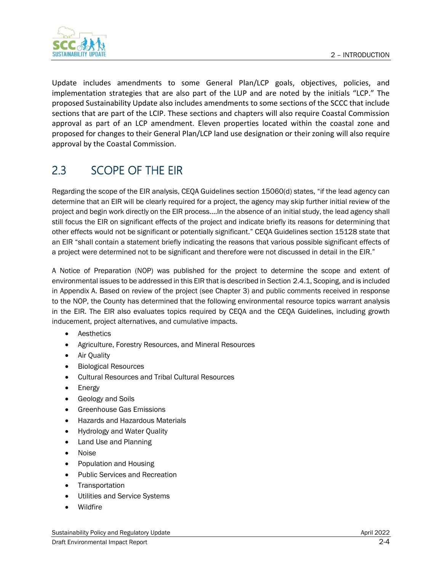

Update includes amendments to some General Plan/LCP goals, objectives, policies, and implementation strategies that are also part of the LUP and are noted by the initials "LCP." The proposed Sustainability Update also includes amendments to some sections of the SCCC that include sections that are part of the LCIP. These sections and chapters will also require Coastal Commission approval as part of an LCP amendment. Eleven properties located within the coastal zone and proposed for changes to their General Plan/LCP land use designation or their zoning will also require approval by the Coastal Commission.

## 2.3 SCOPE OF THE EIR

Regarding the scope of the EIR analysis, CEQA Guidelines section 15060(d) states, "if the lead agency can determine that an EIR will be clearly required for a project, the agency may skip further initial review of the project and begin work directly on the EIR process....In the absence of an initial study, the lead agency shall still focus the EIR on significant effects of the project and indicate briefly its reasons for determining that other effects would not be significant or potentially significant." CEQA Guidelines section 15128 state that an EIR "shall contain a statement briefly indicating the reasons that various possible significant effects of a project were determined not to be significant and therefore were not discussed in detail in the EIR."

A Notice of Preparation (NOP) was published for the project to determine the scope and extent of environmental issues to be addressed in this EIR that is described in Section [2.4.1, Scoping,](#page-4-1) and is included in Appendix A. Based on review of the project (see Chapter 3) and public comments received in response to the NOP, the County has determined that the following environmental resource topics warrant analysis in the EIR. The EIR also evaluates topics required by CEQA and the CEQA Guidelines, including growth inducement, project alternatives, and cumulative impacts.

- **Aesthetics**
- Agriculture, Forestry Resources, and Mineral Resources
- Air Quality
- Biological Resources
- Cultural Resources and Tribal Cultural Resources
- Energy
- Geology and Soils
- Greenhouse Gas Emissions
- Hazards and Hazardous Materials
- Hydrology and Water Quality
- Land Use and Planning
- Noise
- Population and Housing
- Public Services and Recreation
- Transportation
- Utilities and Service Systems
- **Wildfire**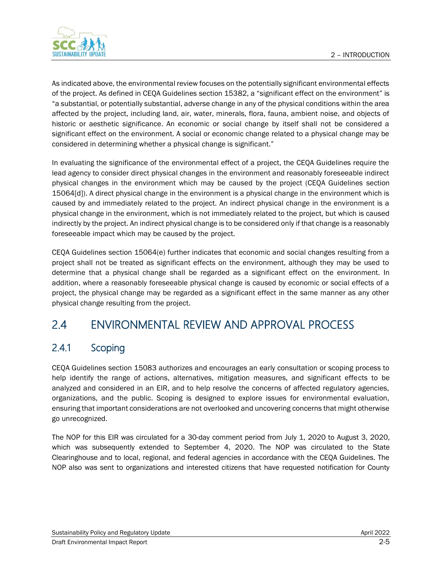

As indicated above, the environmental review focuses on the potentially significant environmental effects of the project. As defined in CEQA Guidelines section 15382, a "significant effect on the environment" is "a substantial, or potentially substantial, adverse change in any of the physical conditions within the area affected by the project, including land, air, water, minerals, flora, fauna, ambient noise, and objects of historic or aesthetic significance. An economic or social change by itself shall not be considered a significant effect on the environment. A social or economic change related to a physical change may be considered in determining whether a physical change is significant."

In evaluating the significance of the environmental effect of a project, the CEQA Guidelines require the lead agency to consider direct physical changes in the environment and reasonably foreseeable indirect physical changes in the environment which may be caused by the project (CEQA Guidelines section 15064[d]). A direct physical change in the environment is a physical change in the environment which is caused by and immediately related to the project. An indirect physical change in the environment is a physical change in the environment, which is not immediately related to the project, but which is caused indirectly by the project. An indirect physical change is to be considered only if that change is a reasonably foreseeable impact which may be caused by the project.

CEQA Guidelines section 15064(e) further indicates that economic and social changes resulting from a project shall not be treated as significant effects on the environment, although they may be used to determine that a physical change shall be regarded as a significant effect on the environment. In addition, where a reasonably foreseeable physical change is caused by economic or social effects of a project, the physical change may be regarded as a significant effect in the same manner as any other physical change resulting from the project.

## <span id="page-4-0"></span>2.4 ENVIRONMENTAL REVIEW AND APPROVAL PROCESS

### <span id="page-4-1"></span>2.4.1 Scoping

CEQA Guidelines section 15083 authorizes and encourages an early consultation or scoping process to help identify the range of actions, alternatives, mitigation measures, and significant effects to be analyzed and considered in an EIR, and to help resolve the concerns of affected regulatory agencies, organizations, and the public. Scoping is designed to explore issues for environmental evaluation, ensuring that important considerations are not overlooked and uncovering concerns that might otherwise go unrecognized.

The NOP for this EIR was circulated for a 30-day comment period from July 1, 2020 to August 3, 2020, which was subsequently extended to September 4, 2020. The NOP was circulated to the State Clearinghouse and to local, regional, and federal agencies in accordance with the CEQA Guidelines. The NOP also was sent to organizations and interested citizens that have requested notification for County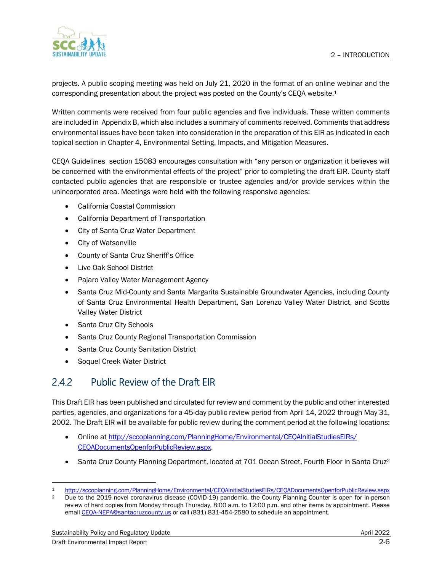

projects. A public scoping meeting was held on July 21, 2020 in the format of an online webinar and the corresponding presentation about the project was posted on the County's CEQA website.<sup>1</sup>

Written comments were received from four public agencies and five individuals. These written comments are included in Appendix B, which also includes a summary of comments received. Comments that address environmental issues have been taken into consideration in the preparation of this EIR as indicated in each topical section in Chapter 4, Environmental Setting, Impacts, and Mitigation Measures.

CEQA Guidelines section 15083 encourages consultation with "any person or organization it believes will be concerned with the environmental effects of the project" prior to completing the draft EIR. County staff contacted public agencies that are responsible or trustee agencies and/or provide services within the unincorporated area. Meetings were held with the following responsive agencies:

- California Coastal Commission
- California Department of Transportation
- City of Santa Cruz Water Department
- City of Watsonville
- County of Santa Cruz Sheriff's Office
- Live Oak School District
- Pajaro Valley Water Management Agency
- Santa Cruz Mid-County and Santa Margarita Sustainable Groundwater Agencies, including County of Santa Cruz Environmental Health Department, San Lorenzo Valley Water District, and Scotts Valley Water District
- Santa Cruz City Schools
- Santa Cruz County Regional Transportation Commission
- Santa Cruz County Sanitation District
- Soquel Creek Water District

#### 2.4.2 Public Review of the Draft EIR

This Draft EIR has been published and circulated for review and comment by the public and other interested parties, agencies, and organizations for a 45-day public review period from April 14, 2022 through May 31, 2002. The Draft EIR will be available for public review during the comment period at the following locations:

- Online at http://sccoplanning.com/PlanningHome/Environmental/CEOAInitialStudiesEIRs/ [CEQADocumentsOpenforPublicReview.aspx.](http://sccoplanning.com/PlanningHome/Environmental/CEQAInitialStudiesEIRs/CEQADocumentsOpenforPublicReview.aspx)
- Santa Cruz County Planning Department, located at 701 Ocean Street, Fourth Floor in Santa Cruz<sup>2</sup>

<http://sccoplanning.com/PlanningHome/Environmental/CEQAInitialStudiesEIRs/CEQADocumentsOpenforPublicReview.aspx>

<sup>&</sup>lt;sup>2</sup> Due to the 2019 novel coronavirus disease (COVID-19) pandemic, the County Planning Counter is open for in-person review of hard copies from Monday through Thursday, 8:00 a.m. to 12:00 p.m. and other items by appointment. Please email [CEQA-NEPA@santacruzcounty.us](mailto:CEQA-NEPA@santacruzcounty.us) or call (831) 831-454-2580 to schedule an appointment.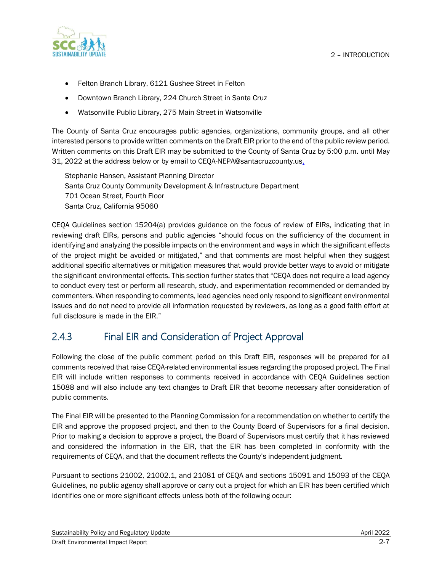

- Felton Branch Library, 6121 Gushee Street in Felton
- Downtown Branch Library, 224 Church Street in Santa Cruz
- Watsonville Public Library, 275 Main Street in Watsonville

The County of Santa Cruz encourages public agencies, organizations, community groups, and all other interested persons to provide written comments on the Draft EIR prior to the end of the public review period. Written comments on this Draft EIR may be submitted to the County of Santa Cruz by 5:00 p.m. until May 31, 2022 at the address below or by email to CEQA-NEPA@santacruzcounty.us.

Stephanie Hansen, Assistant Planning Director Santa Cruz County Community Development & Infrastructure Department 701 Ocean Street, Fourth Floor Santa Cruz, California 95060

CEQA Guidelines section 15204(a) provides guidance on the focus of review of EIRs, indicating that in reviewing draft EIRs, persons and public agencies "should focus on the sufficiency of the document in identifying and analyzing the possible impacts on the environment and ways in which the significant effects of the project might be avoided or mitigated," and that comments are most helpful when they suggest additional specific alternatives or mitigation measures that would provide better ways to avoid or mitigate the significant environmental effects. This section further states that "CEQA does not require a lead agency to conduct every test or perform all research, study, and experimentation recommended or demanded by commenters. When responding to comments, lead agencies need only respond to significant environmental issues and do not need to provide all information requested by reviewers, as long as a good faith effort at full disclosure is made in the EIR."

#### 2.4.3 Final EIR and Consideration of Project Approval

Following the close of the public comment period on this Draft EIR, responses will be prepared for all comments received that raise CEQA-related environmental issues regarding the proposed project. The Final EIR will include written responses to comments received in accordance with CEQA Guidelines section 15088 and will also include any text changes to Draft EIR that become necessary after consideration of public comments.

The Final EIR will be presented to the Planning Commission for a recommendation on whether to certify the EIR and approve the proposed project, and then to the County Board of Supervisors for a final decision. Prior to making a decision to approve a project, the Board of Supervisors must certify that it has reviewed and considered the information in the EIR, that the EIR has been completed in conformity with the requirements of CEQA, and that the document reflects the County's independent judgment.

Pursuant to sections 21002, 21002.1, and 21081 of CEQA and sections 15091 and 15093 of the CEQA Guidelines, no public agency shall approve or carry out a project for which an EIR has been certified which identifies one or more significant effects unless both of the following occur: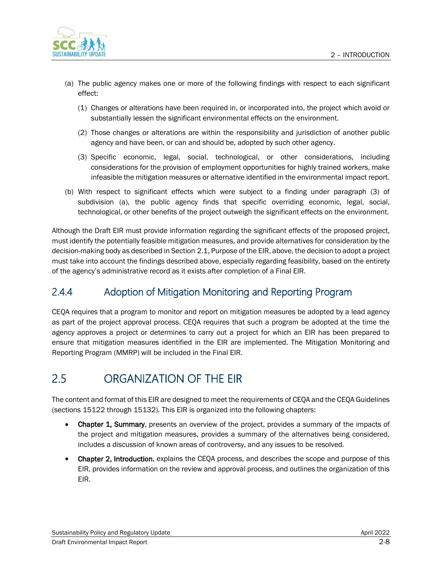

- (a) The public agency makes one or more of the following findings with respect to each significant effect:
	- (1) Changes or alterations have been required in, or incorporated into, the project which avoid or substantially lessen the significant environmental effects on the environment.
	- (2) Those changes or alterations are within the responsibility and jurisdiction of another public agency and have been, or can and should be, adopted by such other agency.
	- (3) Specific economic, legal, social, technological, or other considerations, including considerations for the provision of employment opportunities for highly trained workers, make infeasible the mitigation measures or alternative identified in the environmental impact report.
- (b) With respect to significant effects which were subject to a finding under paragraph (3) of subdivision (a), the public agency finds that specific overriding economic, legal, social, technological, or other benefits of the project outweigh the significant effects on the environment.

Although the Draft EIR must provide information regarding the significant effects of the proposed project, must identify the potentially feasible mitigation measures, and provide alternatives for consideration by the decision-making body as described in Section [2.1, Purpose of the EIR,](#page-0-0) above, the decision to adopt a project must take into account the findings described above, especially regarding feasibility, based on the entirety of the agency's administrative record as it exists after completion of a Final EIR.

#### 2.4.4 Adoption of Mitigation Monitoring and Reporting Program

CEQA requires that a program to monitor and report on mitigation measures be adopted by a lead agency as part of the project approval process. CEQA requires that such a program be adopted at the time the agency approves a project or determines to carry out a project for which an EIR has been prepared to ensure that mitigation measures identified in the EIR are implemented. The Mitigation Monitoring and Reporting Program (MMRP) will be included in the Final EIR.

## 2.5 ORGANIZATION OF THE EIR

The content and format of this EIR are designed to meet the requirements of CEQA and the CEQA Guidelines (sections 15122 through 15132). This EIR is organized into the following chapters:

- Chapter 1, Summary, presents an overview of the project, provides a summary of the impacts of the project and mitigation measures, provides a summary of the alternatives being considered, includes a discussion of known areas of controversy, and any issues to be resolved.
- Chapter 2, Introduction, explains the CEQA process, and describes the scope and purpose of this EIR, provides information on the review and approval process, and outlines the organization of this EIR.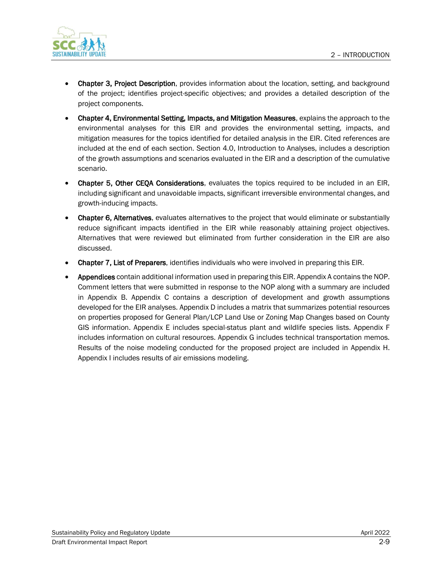

- Chapter 3, Project Description, provides information about the location, setting, and background of the project; identifies project-specific objectives; and provides a detailed description of the project components.
- Chapter 4, Environmental Setting, Impacts, and Mitigation Measures, explains the approach to the environmental analyses for this EIR and provides the environmental setting, impacts, and mitigation measures for the topics identified for detailed analysis in the EIR. Cited references are included at the end of each section. Section 4.0, Introduction to Analyses, includes a description of the growth assumptions and scenarios evaluated in the EIR and a description of the cumulative scenario.
- Chapter 5, Other CEQA Considerations, evaluates the topics required to be included in an EIR, including significant and unavoidable impacts, significant irreversible environmental changes, and growth-inducing impacts.
- Chapter 6, Alternatives, evaluates alternatives to the project that would eliminate or substantially reduce significant impacts identified in the EIR while reasonably attaining project objectives. Alternatives that were reviewed but eliminated from further consideration in the EIR are also discussed.
- Chapter 7, List of Preparers, identifies individuals who were involved in preparing this EIR.
- Appendices contain additional information used in preparing this EIR. Appendix A contains the NOP. Comment letters that were submitted in response to the NOP along with a summary are included in Appendix B. Appendix C contains a description of development and growth assumptions developed for the EIR analyses. Appendix D includes a matrix that summarizes potential resources on properties proposed for General Plan/LCP Land Use or Zoning Map Changes based on County GIS information. Appendix E includes special-status plant and wildlife species lists. Appendix F includes information on cultural resources. Appendix G includes technical transportation memos. Results of the noise modeling conducted for the proposed project are included in Appendix H. Appendix I includes results of air emissions modeling.